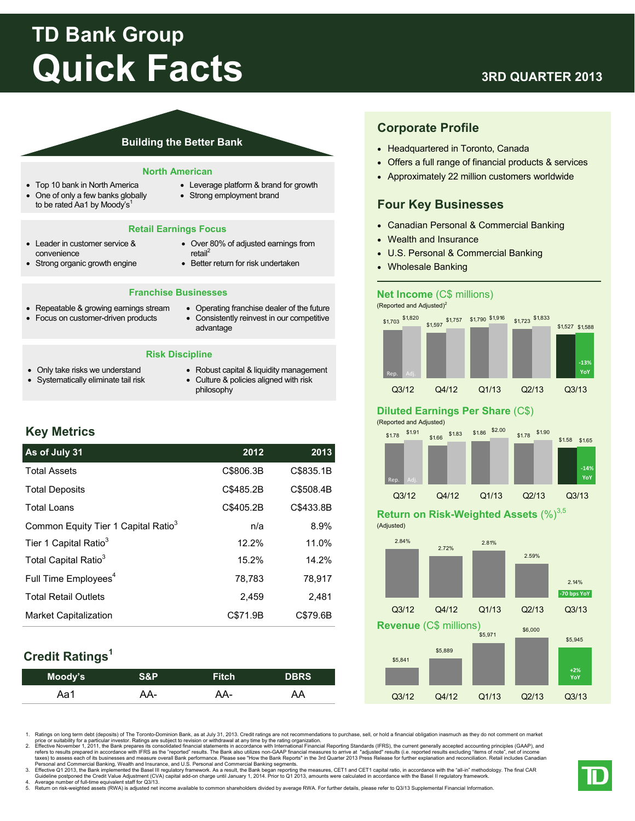# **TD Bank Group Quick Facts**

# **3RD QUARTER 2013**

### **Building the Better Bank**

#### **North American**

- Top 10 bank in North America
- One of only a few banks globally to be rated Aa1 by Moody's<sup>1</sup>
- Leverage platform & brand for growth
- Strong employment brand

### **Retail Earnings Focus**

- Leader in customer service & convenience
- Strong organic growth engine
- Over 80% of adjusted earnings from retail<sup>2</sup>
- Better return for risk undertaken

### **Franchise Businesses**

- Repeatable & growing earnings stream
- Focus on customer-driven products
- Operating franchise dealer of the future Consistently reinvest in our competitive advantage

### **Risk Discipline**

- Only take risks we understand Systematically eliminate tail risk
- Robust capital & liquidity management Culture & policies aligned with risk
- philosophy

# **Key Metrics**

# **As of July 31 2012 2013**  Total Assets C\$806.3B C\$835.1B Total Deposits C\$485.2B C\$508.4B Total Loans C\$405.2B C\$433.8B Tier 1 Capital Ratio<sup>3</sup> 12.2% 11.0% Total Capital Ratio<sup>3</sup> 15.2% 14.2% Full Time  $Emplovees<sup>4</sup>$  78,783 78,917 Total Retail Outlets 2,459 2,481 Market Capitalization C\$71.9B C\$79.6B Common Equity Tier 1 Capital Ratio<sup>3</sup> n/a  $\qquad \qquad$  8.9%

# **Credit Ratings1**

| Moody's | <b>S&amp;P</b> | <b>Fitch</b> | <b>DBRS</b> |
|---------|----------------|--------------|-------------|
| Aa1     | AA-            | AA-          | AA          |

# **Corporate Profile**

- Headquartered in Toronto, Canada
- Offers a full range of financial products & services
- Approximately 22 million customers worldwide

### **Four Key Businesses**

- Canadian Personal & Commercial Banking
- Wealth and Insurance
- U.S. Personal & Commercial Banking
- Wholesale Banking

### **Net Income** (C\$ millions)

(Reported and Adjusted)<sup>2</sup>



# **Diluted Earnings Per Share** (C\$)

(Reported and Adjusted)



# **Return on Risk-Weighted Assets (%)**3,5





1. Ratings on long term debt (deposits) of The Toronto-Dominion Bank, as at July 31, 2013. Credit ratings are not recommendations to purchase, sell, or hold a financial obligation inasmuch as they do not comment on market

price or suitablity for a particular investor. Ratings are subject to revision or withdrawal at any time by the rating organization.<br>2. Effective November 1, 2011, the Bank prepares its consolidated financial statements in

3. Effective Q1 2013, the Bank implemented the Basel III regulatory framework. As a result, the Bank began reporting the measures, CET1 and CET1 capital ratio, in accordance with the "all-in" methodology. The final CAR Guideline postponed the Credit Value Adjustment (CVA) capital add-on charge until January 1, 2014. Prior to Q1 2013, amounts were calculated in accordance with the Basel II regulatory framework.<br>4. Average number of ful